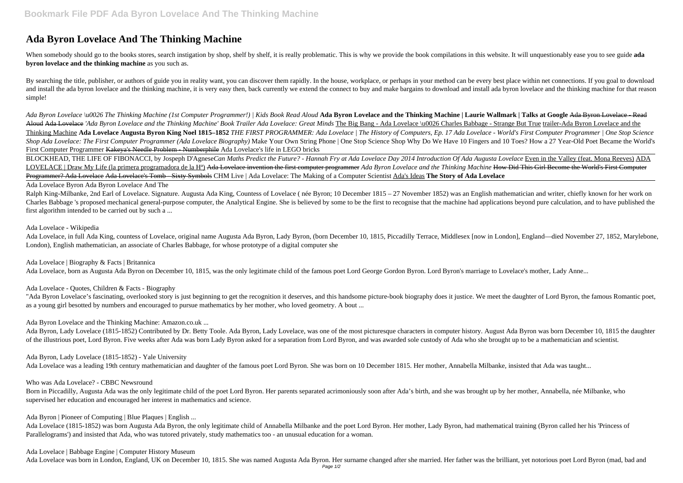# **Ada Byron Lovelace And The Thinking Machine**

When somebody should go to the books stores, search instigation by shop, shelf by shelf, it is really problematic. This is why we provide the book compilations in this website. It will unquestionably ease you to see guide **byron lovelace and the thinking machine** as you such as.

By searching the title, publisher, or authors of guide you in reality want, you can discover them rapidly. In the house, workplace, or perhaps in your method can be every best place within net connections. If you goal to d and install the ada byron lovelace and the thinking machine, it is very easy then, back currently we extend the connect to buy and make bargains to download and install ada byron lovelace and the thinking machine for that simple!

*Ada Byron Lovelace \u0026 The Thinking Machine (1st Computer Programmer!) | Kids Book Read Aloud* **Ada Byron Lovelace and the Thinking Machine | Laurie Wallmark | Talks at Google** Ada Byron Lovelace - Read Aloud Ada Lovelace *'Ada Byron Lovelace and the Thinking Machine' Book Trailer Ada Lovelace: Great Minds The Big Bang - Ada Lovelace \u0026 Charles Babbage - Strange But True trailer-Ada Byron Lovelace and the* Thinking Machine **Ada Lovelace Augusta Byron King Noel 1815–1852** *THE FIRST PROGRAMMER: Ada Lovelace | The History of Computers, Ep. 17 Ada Lovelace - World's First Computer Programmer | One Stop Science Shop Ada Lovelace: The First Computer Programmer (Ada Lovelace Biography)* Make Your Own String Phone | One Stop Science Shop Why Do We Have 10 Fingers and 10 Toes? How a 27 Year-Old Poet Became the World's First Computer Programmer Kakeya's Needle Problem - Numberphile Ada Lovelace's life in LEGO bricks

Ralph King-Milbanke, 2nd Earl of Lovelace. Signature. Augusta Ada King, Countess of Lovelace (née Byron; 10 December 1815 – 27 November 1852) was an English mathematician and writer, chiefly known for her work on Charles Babbage 's proposed mechanical general-purpose computer, the Analytical Engine. She is believed by some to be the first to recognise that the machine had applications beyond pure calculation, and to have published first algorithm intended to be carried out by such a ...

Ada Lovelace, in full Ada King, countess of Lovelace, original name Augusta Ada Byron, Lady Byron, (born December 10, 1815, Piccadilly Terrace, Middlesex [now in London], England—died November 27, 1852, Marylebone, London), English mathematician, an associate of Charles Babbage, for whose prototype of a digital computer she

"Ada Byron Lovelace's fascinating, overlooked story is just beginning to get the recognition it deserves, and this handsome picture-book biography does it justice. We meet the daughter of Lord Byron, the famous Romantic po as a young girl besotted by numbers and encouraged to pursue mathematics by her mother, who loved geometry. A bout ...

BLOCKHEAD, THE LIFE OF FIBONACCI, by Jospeph D'Agnese*Can Maths Predict the Future? - Hannah Fry at Ada Lovelace Day 2014 Introduction Of Ada Augusta Lovelace* Even in the Valley (feat. Mona Reeves) ADA LOVELACE | Draw My Life (la primera programadora de la Hª) Ada Lovelace invention the first computer programmer *Ada Byron Lovelace and the Thinking Machine* How Did This Girl Become the World's First Computer Programmer? Ada Lovelace Ada Lovelace's Tomb - Sixty Symbols CHM Live | Ada Lovelace: The Making of a Computer Scientist Ada's Ideas **The Story of Ada Lovelace**

Ada Lovelace Byron Ada Byron Lovelace And The

#### Ada Lovelace - Wikipedia

Ada Lovelace | Biography & Facts | Britannica

Ada Lovelace, born as Augusta Ada Byron on December 10, 1815, was the only legitimate child of the famous poet Lord George Gordon Byron. Lord Byron's marriage to Lovelace's mother, Lady Anne...

Ada Lovelace - Quotes, Children & Facts - Biography

Ada Byron Lovelace and the Thinking Machine: Amazon.co.uk ...

Ada Byron, Lady Lovelace (1815-1852) Contributed by Dr. Betty Toole. Ada Byron, Lady Lovelace, was one of the most picturesque characters in computer history. August Ada Byron was born December 10, 1815 the daughter of the illustrious poet, Lord Byron. Five weeks after Ada was born Lady Byron asked for a separation from Lord Byron, and was awarded sole custody of Ada who she brought up to be a mathematician and scientist.

Ada Byron, Lady Lovelace (1815-1852) - Yale University

Ada Lovelace was a leading 19th century mathematician and daughter of the famous poet Lord Byron. She was born on 10 December 1815. Her mother, Annabella Milbanke, insisted that Ada was taught...

#### Who was Ada Lovelace? - CBBC Newsround

Born in Piccadilly, Augusta Ada was the only legitimate child of the poet Lord Byron. Her parents separated acrimoniously soon after Ada's birth, and she was brought up by her mother, Annabella, née Milbanke, who supervised her education and encouraged her interest in mathematics and science.

Ada Byron | Pioneer of Computing | Blue Plaques | English ...

Ada Lovelace (1815-1852) was born Augusta Ada Byron, the only legitimate child of Annabella Milbanke and the poet Lord Byron. Her mother, Lady Byron, had mathematical training (Byron called her his 'Princess of Parallelograms') and insisted that Ada, who was tutored privately, study mathematics too - an unusual education for a woman.

#### Ada Lovelace | Babbage Engine | Computer History Museum

Ada Lovelace was born in London, England, UK on December 10, 1815. She was named Augusta Ada Byron. Her surname changed after she married. Her father was the brilliant, yet notorious poet Lord Byron (mad, bad and